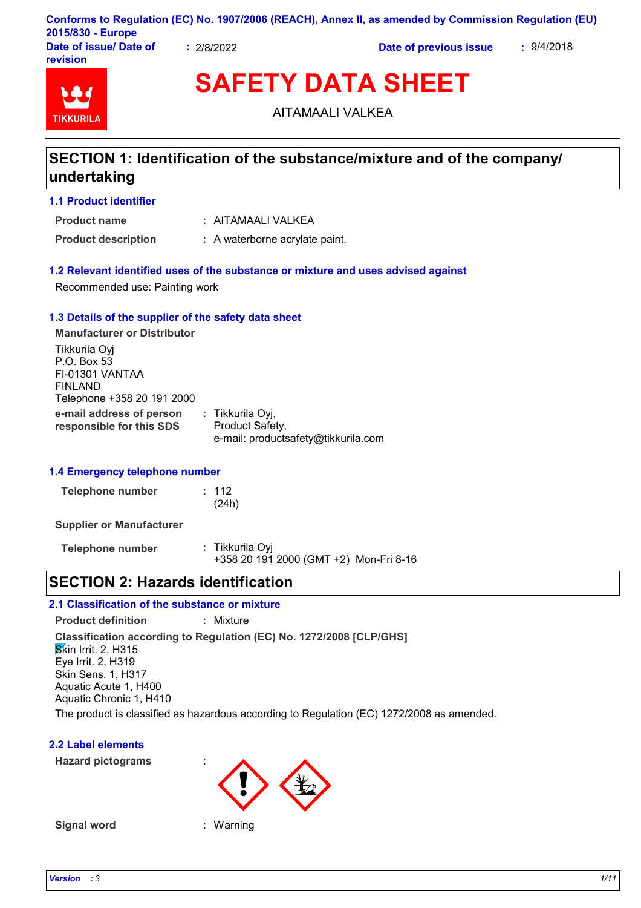| 2015/830 - Europe                  |          | Conforms to Regulation (EC) No. 1907/2006 (REACH), Annex II, as amended by Commission Regulation (EU) |            |
|------------------------------------|----------|-------------------------------------------------------------------------------------------------------|------------|
| Date of issue/ Date of<br>revision | 2/8/2022 | Date of previous issue                                                                                | : 9/4/2018 |

# **TIKKURIL**

**SAFETY DATA SHEET**

AITAMAALI VALKEA

## **SECTION 1: Identification of the substance/mixture and of the company/ undertaking**

#### **1.1 Product identifier**

**Product name**

AITAMAALI VALKEA **:**

**Product description :** A waterborne acrylate paint.

#### **1.2 Relevant identified uses of the substance or mixture and uses advised against**

Recommended use: Painting work

#### **1.3 Details of the supplier of the safety data sheet**

**e-mail address of person responsible for this SDS :** Tikkurila Oyj, Product Safety, e-mail: productsafety@tikkurila.com **Manufacturer or Distributor** Tikkurila Oyj P.O. Box 53 FI-01301 VANTAA FINLAND Telephone +358 20 191 2000

#### **1.4 Emergency telephone number**

| <b>Telephone number</b> | : 112 |
|-------------------------|-------|
|                         | (24h) |

**Supplier or Manufacturer**

**Telephone number :** Tikkurila Oyj +358 20 191 2000 (GMT +2) Mon-Fri 8-16

## **SECTION 2: Hazards identification**

#### **2.1 Classification of the substance or mixture**

**Product definition :** Mixture

**Classification according to Regulation (EC) No. 1272/2008 [CLP/GHS] Skin Irrit. 2, H315** 

Eye Irrit. 2, H319 Skin Sens. 1, H317 Aquatic Acute 1, H400

Aquatic Chronic 1, H410

The product is classified as hazardous according to Regulation (EC) 1272/2008 as amended.

#### **2.2 Label elements**

**Hazard pictograms :**



**Signal word :** Warning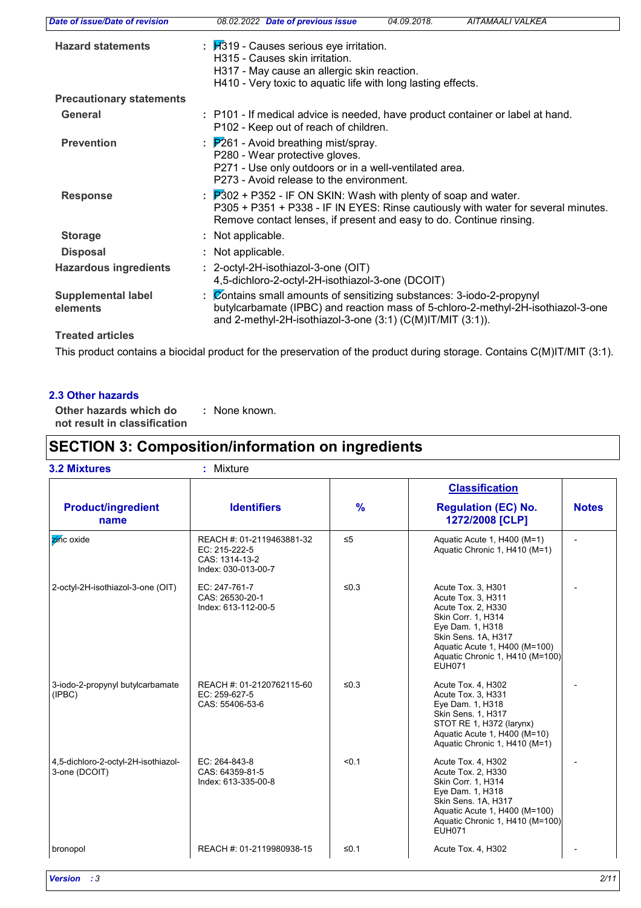| Date of issue/Date of revision        | AITAMAALI VALKEA<br>08.02.2022 Date of previous issue<br>04.09.2018.                                                                                                                                                                     |
|---------------------------------------|------------------------------------------------------------------------------------------------------------------------------------------------------------------------------------------------------------------------------------------|
| <b>Hazard statements</b>              | : H319 - Causes serious eye irritation.<br>H315 - Causes skin irritation.<br>H317 - May cause an allergic skin reaction.<br>H410 - Very toxic to aquatic life with long lasting effects.                                                 |
| <b>Precautionary statements</b>       |                                                                                                                                                                                                                                          |
| <b>General</b>                        | : P101 - If medical advice is needed, have product container or label at hand.<br>P102 - Keep out of reach of children.                                                                                                                  |
| <b>Prevention</b>                     | $\frac{1}{2}$ $\mathbb{P}261$ - Avoid breathing mist/spray.<br>P280 - Wear protective gloves.<br>P271 - Use only outdoors or in a well-ventilated area.<br>P273 - Avoid release to the environment.                                      |
| <b>Response</b>                       | : $\overline{P}302$ + P352 - IF ON SKIN: Wash with plenty of soap and water.<br>P305 + P351 + P338 - IF IN EYES: Rinse cautiously with water for several minutes.<br>Remove contact lenses, if present and easy to do. Continue rinsing. |
| <b>Storage</b>                        | : Not applicable.                                                                                                                                                                                                                        |
| <b>Disposal</b>                       | : Not applicable.                                                                                                                                                                                                                        |
| <b>Hazardous ingredients</b>          | : 2-octyl-2H-isothiazol-3-one (OIT)<br>4,5-dichloro-2-octyl-2H-isothiazol-3-one (DCOIT)                                                                                                                                                  |
| <b>Supplemental label</b><br>elements | : Contains small amounts of sensitizing substances: 3-iodo-2-propynyl<br>butylcarbamate (IPBC) and reaction mass of 5-chloro-2-methyl-2H-isothiazol-3-one<br>and 2-methyl-2H-isothiazol-3-one $(3:1)$ $(C(M)$ IT/MIT $(3:1)$ ).          |
| <b>Treated articles</b>               |                                                                                                                                                                                                                                          |

This product contains a biocidal product for the preservation of the product during storage. Contains C(M)IT/MIT (3:1).

#### **2.3 Other hazards**

**Other hazards which do : not result in classification** : None known.

## **SECTION 3: Composition/information on ingredients**

|                                                      |                                                                                     |          | <b>Classification</b>                                                                                                                                                                                                |              |
|------------------------------------------------------|-------------------------------------------------------------------------------------|----------|----------------------------------------------------------------------------------------------------------------------------------------------------------------------------------------------------------------------|--------------|
| <b>Product/ingredient</b><br>name                    | <b>Identifiers</b>                                                                  | %        | <b>Regulation (EC) No.</b><br>1272/2008 [CLP]                                                                                                                                                                        | <b>Notes</b> |
| zinc oxide                                           | REACH #: 01-2119463881-32<br>EC: 215-222-5<br>CAS: 1314-13-2<br>Index: 030-013-00-7 | $\leq 5$ | Aquatic Acute 1, H400 (M=1)<br>Aquatic Chronic 1, H410 (M=1)                                                                                                                                                         |              |
| 2-octyl-2H-isothiazol-3-one (OIT)                    | EC: 247-761-7<br>CAS: 26530-20-1<br>Index: 613-112-00-5                             | $≤0.3$   | Acute Tox. 3, H301<br>Acute Tox. 3, H311<br>Acute Tox. 2, H330<br>Skin Corr. 1, H314<br>Eye Dam. 1, H318<br>Skin Sens. 1A, H317<br>Aquatic Acute 1, H400 (M=100)<br>Aquatic Chronic 1, H410 (M=100)<br><b>EUH071</b> |              |
| 3-iodo-2-propynyl butylcarbamate<br>(IPBC)           | REACH #: 01-2120762115-60<br>EC: 259-627-5<br>CAS: 55406-53-6                       | ≤ $0.3$  | Acute Tox. 4, H302<br>Acute Tox. 3, H331<br>Eye Dam. 1, H318<br>Skin Sens. 1, H317<br>STOT RE 1, H372 (larynx)<br>Aquatic Acute 1, H400 (M=10)<br>Aquatic Chronic 1, H410 (M=1)                                      |              |
| 4,5-dichloro-2-octyl-2H-isothiazol-<br>3-one (DCOIT) | EC: 264-843-8<br>CAS: 64359-81-5<br>Index: 613-335-00-8                             | < 0.1    | Acute Tox. 4, H302<br>Acute Tox. 2, H330<br>Skin Corr. 1, H314<br>Eye Dam. 1, H318<br>Skin Sens. 1A, H317<br>Aquatic Acute 1, H400 (M=100)<br>Aquatic Chronic 1, H410 (M=100)<br><b>EUH071</b>                       |              |
| bronopol                                             | REACH #: 01-2119980938-15                                                           | ≤ $0.1$  | Acute Tox. 4, H302                                                                                                                                                                                                   |              |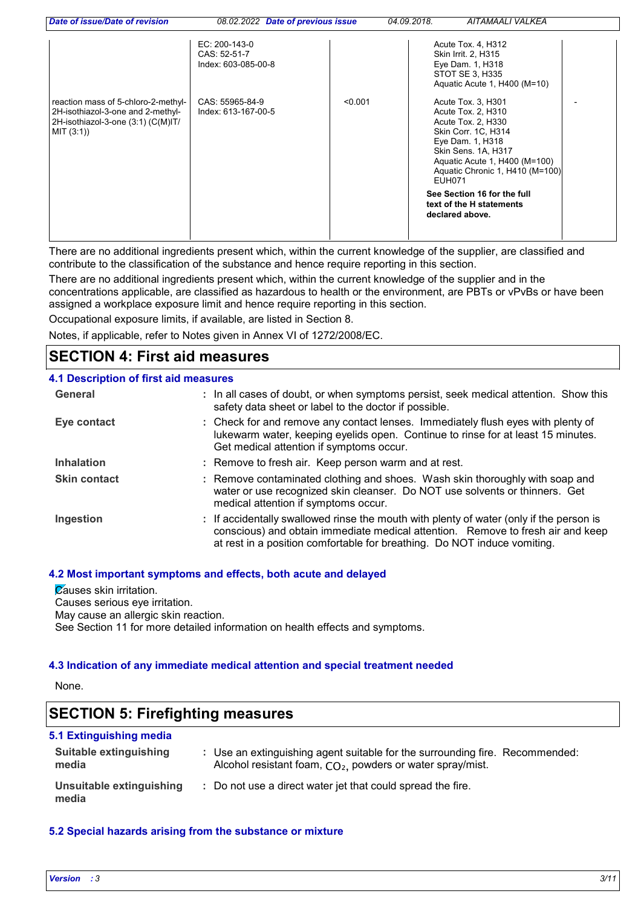| Date of issue/Date of revision                                                                                               | 08.02.2022 Date of previous issue                    |         | 04.09.2018. | AITAMAALI VALKEA                                                                                                                                                                                                                                                                   |  |
|------------------------------------------------------------------------------------------------------------------------------|------------------------------------------------------|---------|-------------|------------------------------------------------------------------------------------------------------------------------------------------------------------------------------------------------------------------------------------------------------------------------------------|--|
|                                                                                                                              | EC: 200-143-0<br>CAS: 52-51-7<br>Index: 603-085-00-8 |         |             | Acute Tox. 4, H312<br>Skin Irrit. 2, H315<br>Eye Dam. 1, H318<br>STOT SE 3, H335<br>Aquatic Acute 1, H400 (M=10)                                                                                                                                                                   |  |
| reaction mass of 5-chloro-2-methyl-<br>2H-isothiazol-3-one and 2-methyl-<br>2H-isothiazol-3-one (3:1) (C(M)IT/<br>MIT (3:1)) | CAS: 55965-84-9<br>Index: 613-167-00-5               | < 0.001 | EUH071      | Acute Tox. 3, H301<br>Acute Tox. 2, H310<br>Acute Tox. 2, H330<br>Skin Corr. 1C, H314<br>Eye Dam. 1, H318<br>Skin Sens. 1A, H317<br>Aquatic Acute 1, H400 (M=100)<br>Aquatic Chronic 1, H410 (M=100)<br>See Section 16 for the full<br>text of the H statements<br>declared above. |  |

There are no additional ingredients present which, within the current knowledge of the supplier, are classified and contribute to the classification of the substance and hence require reporting in this section.

There are no additional ingredients present which, within the current knowledge of the supplier and in the concentrations applicable, are classified as hazardous to health or the environment, are PBTs or vPvBs or have been assigned a workplace exposure limit and hence require reporting in this section.

Occupational exposure limits, if available, are listed in Section 8.

Notes, if applicable, refer to Notes given in Annex VI of 1272/2008/EC.

## **SECTION 4: First aid measures**

| 4.1 Description of first aid measures |                                                                                                                                                                                                                                                        |
|---------------------------------------|--------------------------------------------------------------------------------------------------------------------------------------------------------------------------------------------------------------------------------------------------------|
| General                               | : In all cases of doubt, or when symptoms persist, seek medical attention. Show this<br>safety data sheet or label to the doctor if possible.                                                                                                          |
| Eye contact                           | : Check for and remove any contact lenses. Immediately flush eyes with plenty of<br>lukewarm water, keeping eyelids open. Continue to rinse for at least 15 minutes.<br>Get medical attention if symptoms occur.                                       |
| <b>Inhalation</b>                     | : Remove to fresh air. Keep person warm and at rest.                                                                                                                                                                                                   |
| <b>Skin contact</b>                   | : Remove contaminated clothing and shoes. Wash skin thoroughly with soap and<br>water or use recognized skin cleanser. Do NOT use solvents or thinners. Get<br>medical attention if symptoms occur.                                                    |
| Ingestion                             | : If accidentally swallowed rinse the mouth with plenty of water (only if the person is<br>conscious) and obtain immediate medical attention. Remove to fresh air and keep<br>at rest in a position comfortable for breathing. Do NOT induce vomiting. |

#### **4.2 Most important symptoms and effects, both acute and delayed**

**Zauses skin irritation.** Causes serious eye irritation. May cause an allergic skin reaction. See Section 11 for more detailed information on health effects and symptoms.

#### **4.3 Indication of any immediate medical attention and special treatment needed**

None.

## **SECTION 5: Firefighting measures**

| 5.1 Extinguishing media                |                                                                                                                                              |
|----------------------------------------|----------------------------------------------------------------------------------------------------------------------------------------------|
| <b>Suitable extinguishing</b><br>media | : Use an extinguishing agent suitable for the surrounding fire. Recommended:<br>Alcohol resistant foam, $CO2$ , powders or water spray/mist. |
| Unsuitable extinguishing<br>media      | : Do not use a direct water jet that could spread the fire.                                                                                  |

#### **5.2 Special hazards arising from the substance or mixture**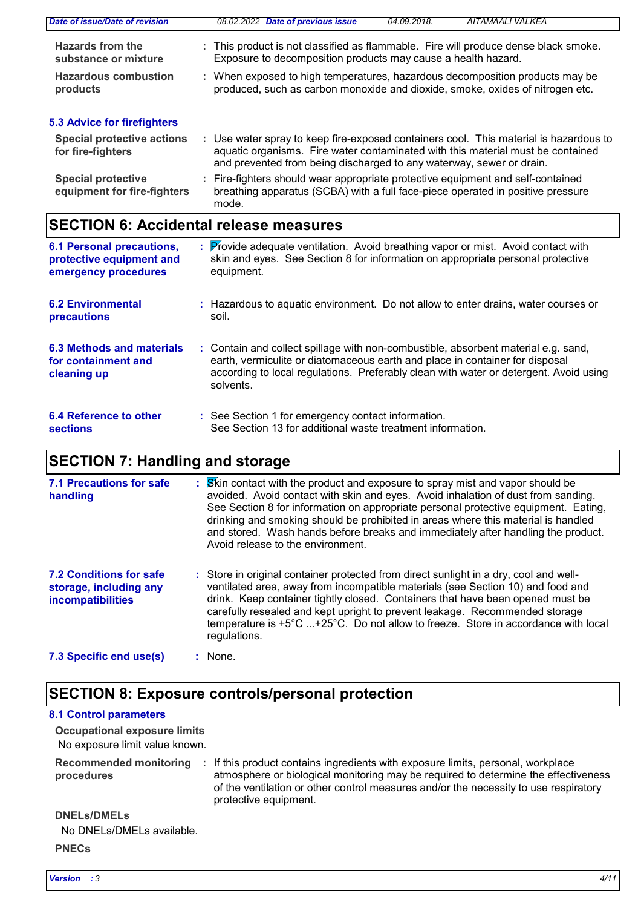| Date of issue/Date of revision                           | 08.02.2022 Date of previous issue<br>AITAMAALI VALKEA<br>04.09.2018.                                                                                                                                                                             |
|----------------------------------------------------------|--------------------------------------------------------------------------------------------------------------------------------------------------------------------------------------------------------------------------------------------------|
| <b>Hazards from the</b><br>substance or mixture          | : This product is not classified as flammable. Fire will produce dense black smoke.<br>Exposure to decomposition products may cause a health hazard.                                                                                             |
| <b>Hazardous combustion</b><br>products                  | : When exposed to high temperatures, hazardous decomposition products may be<br>produced, such as carbon monoxide and dioxide, smoke, oxides of nitrogen etc.                                                                                    |
| 5.3 Advice for firefighters                              |                                                                                                                                                                                                                                                  |
| <b>Special protective actions</b><br>for fire-fighters   | : Use water spray to keep fire-exposed containers cool. This material is hazardous to<br>aquatic organisms. Fire water contaminated with this material must be contained<br>and prevented from being discharged to any waterway, sewer or drain. |
| <b>Special protective</b><br>equipment for fire-fighters | : Fire-fighters should wear appropriate protective equipment and self-contained<br>breathing apparatus (SCBA) with a full face-piece operated in positive pressure<br>mode.                                                                      |

# **SECTION 6: Accidental release measures**

| <b>6.1 Personal precautions,</b><br>protective equipment and<br>emergency procedures | : Provide adequate ventilation. Avoid breathing vapor or mist. Avoid contact with<br>skin and eyes. See Section 8 for information on appropriate personal protective<br>equipment.                                                                                       |
|--------------------------------------------------------------------------------------|--------------------------------------------------------------------------------------------------------------------------------------------------------------------------------------------------------------------------------------------------------------------------|
| <b>6.2 Environmental</b><br>precautions                                              | : Hazardous to aquatic environment. Do not allow to enter drains, water courses or<br>soil.                                                                                                                                                                              |
| 6.3 Methods and materials<br>for containment and<br>cleaning up                      | : Contain and collect spillage with non-combustible, absorbent material e.g. sand,<br>earth, vermiculite or diatomaceous earth and place in container for disposal<br>according to local regulations. Preferably clean with water or detergent. Avoid using<br>solvents. |
| 6.4 Reference to other<br><b>sections</b>                                            | : See Section 1 for emergency contact information.<br>See Section 13 for additional waste treatment information.                                                                                                                                                         |

# **SECTION 7: Handling and storage**

| <b>7.1 Precautions for safe</b><br>handling                                   | : Skin contact with the product and exposure to spray mist and vapor should be<br>avoided. Avoid contact with skin and eyes. Avoid inhalation of dust from sanding.<br>See Section 8 for information on appropriate personal protective equipment. Eating,<br>drinking and smoking should be prohibited in areas where this material is handled<br>and stored. Wash hands before breaks and immediately after handling the product.<br>Avoid release to the environment. |
|-------------------------------------------------------------------------------|--------------------------------------------------------------------------------------------------------------------------------------------------------------------------------------------------------------------------------------------------------------------------------------------------------------------------------------------------------------------------------------------------------------------------------------------------------------------------|
| <b>7.2 Conditions for safe</b><br>storage, including any<br>incompatibilities | : Store in original container protected from direct sunlight in a dry, cool and well-<br>ventilated area, away from incompatible materials (see Section 10) and food and<br>drink. Keep container tightly closed. Containers that have been opened must be<br>carefully resealed and kept upright to prevent leakage. Recommended storage<br>temperature is +5°C +25°C. Do not allow to freeze. Store in accordance with local<br>regulations.                           |
| 7.3 Specific end use(s)                                                       | : None.                                                                                                                                                                                                                                                                                                                                                                                                                                                                  |

## **SECTION 8: Exposure controls/personal protection**

#### **8.1 Control parameters**

No exposure limit value known. **Occupational exposure limits**

|            | Recommended monitoring : If this product contains ingredients with exposure limits, personal, workplace |
|------------|---------------------------------------------------------------------------------------------------------|
| procedures | atmosphere or biological monitoring may be required to determine the effectiveness                      |
|            | of the ventilation or other control measures and/or the necessity to use respiratory                    |
|            | protective equipment.                                                                                   |

### **PNECs DNELs/DMELs** No DNELs/DMELs available.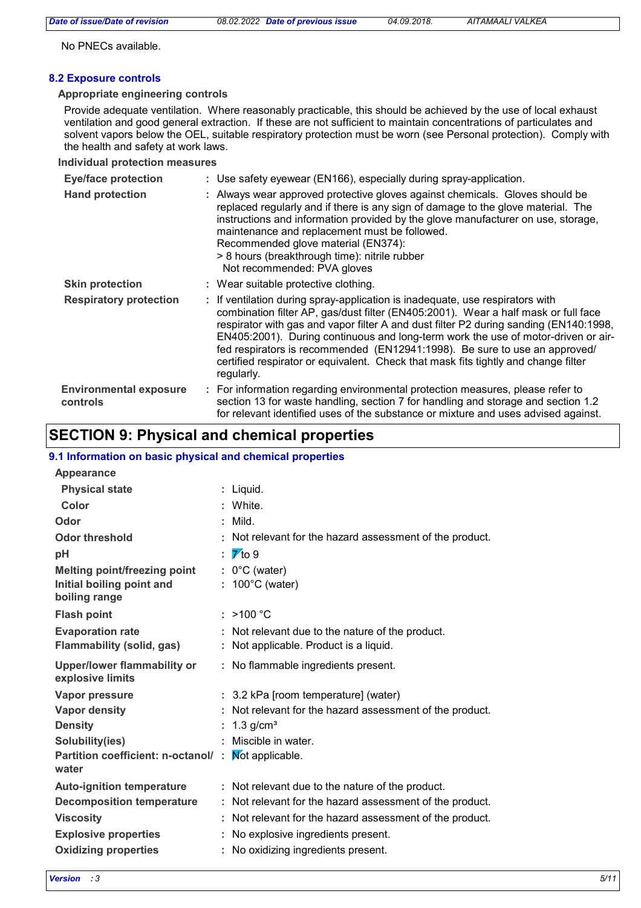No PNECs available.

#### **8.2 Exposure controls**

#### **Appropriate engineering controls**

Provide adequate ventilation. Where reasonably practicable, this should be achieved by the use of local exhaust ventilation and good general extraction. If these are not sufficient to maintain concentrations of particulates and solvent vapors below the OEL, suitable respiratory protection must be worn (see Personal protection). Comply with the health and safety at work laws.

#### **Individual protection measures**

| <b>Eye/face protection</b>                | : Use safety eyewear (EN166), especially during spray-application.                                                                                                                                                                                                                                                                                                                                                                                                                                                                  |
|-------------------------------------------|-------------------------------------------------------------------------------------------------------------------------------------------------------------------------------------------------------------------------------------------------------------------------------------------------------------------------------------------------------------------------------------------------------------------------------------------------------------------------------------------------------------------------------------|
| <b>Hand protection</b>                    | : Always wear approved protective gloves against chemicals. Gloves should be<br>replaced regularly and if there is any sign of damage to the glove material. The<br>instructions and information provided by the glove manufacturer on use, storage,<br>maintenance and replacement must be followed.<br>Recommended glove material (EN374):<br>> 8 hours (breakthrough time): nitrile rubber<br>Not recommended: PVA gloves                                                                                                        |
| <b>Skin protection</b>                    | : Wear suitable protective clothing.                                                                                                                                                                                                                                                                                                                                                                                                                                                                                                |
| <b>Respiratory protection</b>             | : If ventilation during spray-application is inadequate, use respirators with<br>combination filter AP, gas/dust filter (EN405:2001). Wear a half mask or full face<br>respirator with gas and vapor filter A and dust filter P2 during sanding (EN140:1998,<br>EN405:2001). During continuous and long-term work the use of motor-driven or air-<br>fed respirators is recommended (EN12941:1998). Be sure to use an approved/<br>certified respirator or equivalent. Check that mask fits tightly and change filter<br>regularly. |
| <b>Environmental exposure</b><br>controls | : For information regarding environmental protection measures, please refer to<br>section 13 for waste handling, section 7 for handling and storage and section 1.2<br>for relevant identified uses of the substance or mixture and uses advised against.                                                                                                                                                                                                                                                                           |

## **SECTION 9: Physical and chemical properties**

#### **9.1 Information on basic physical and chemical properties**

| <b>Appearance</b>                                                                 |    |                                                                                        |
|-----------------------------------------------------------------------------------|----|----------------------------------------------------------------------------------------|
| <b>Physical state</b>                                                             | ÷. | Liquid.                                                                                |
| Color                                                                             |    | White.                                                                                 |
| Odor                                                                              |    | Mild.                                                                                  |
| <b>Odor threshold</b>                                                             |    | Not relevant for the hazard assessment of the product.                                 |
| рH                                                                                |    | $\overline{\mathbf{V}}$ to 9                                                           |
| <b>Melting point/freezing point</b><br>Initial boiling point and<br>boiling range |    | $0^{\circ}$ C (water)<br>: $100^{\circ}$ C (water)                                     |
| <b>Flash point</b>                                                                |    | : $>100 °C$                                                                            |
| <b>Evaporation rate</b><br><b>Flammability (solid, gas)</b>                       |    | Not relevant due to the nature of the product.<br>Not applicable. Product is a liquid. |
| <b>Upper/lower flammability or</b><br>explosive limits                            |    | : No flammable ingredients present.                                                    |
| Vapor pressure                                                                    |    | : 3.2 kPa [room temperature] (water)                                                   |
| <b>Vapor density</b>                                                              |    | Not relevant for the hazard assessment of the product.                                 |
| <b>Density</b>                                                                    |    | 1.3 $g/cm3$                                                                            |
| Solubility(ies)                                                                   |    | Miscible in water.                                                                     |
| Partition coefficient: n-octanol/:<br>water                                       |    | Mot applicable.                                                                        |
| <b>Auto-ignition temperature</b>                                                  |    | : Not relevant due to the nature of the product.                                       |
| <b>Decomposition temperature</b>                                                  |    | Not relevant for the hazard assessment of the product.                                 |
| <b>Viscosity</b>                                                                  |    | Not relevant for the hazard assessment of the product.                                 |
| <b>Explosive properties</b>                                                       |    | No explosive ingredients present.                                                      |
| <b>Oxidizing properties</b>                                                       |    | No oxidizing ingredients present.                                                      |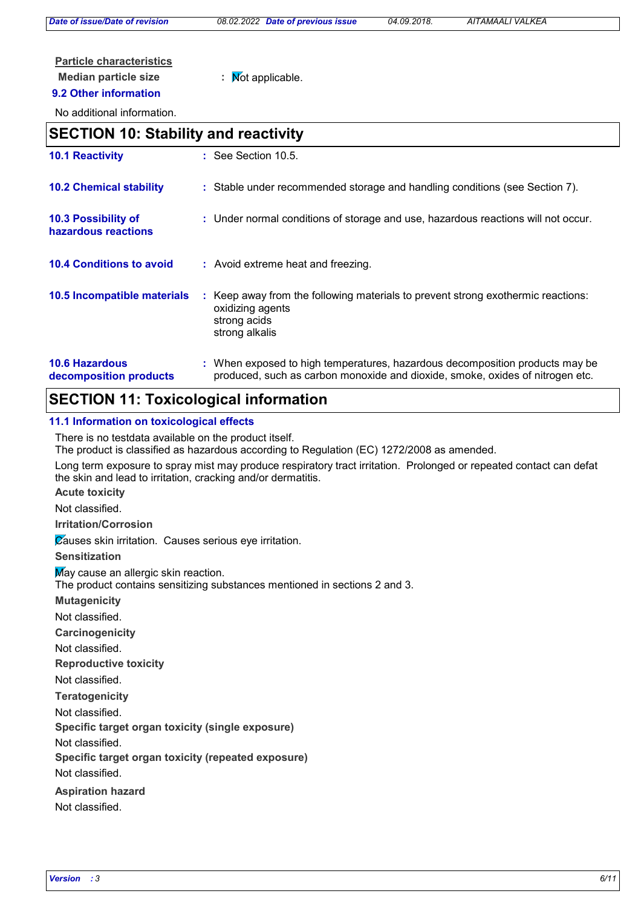*Date of issue/Date of revision 08.02.2022 Date of previous issue 04.09.2018. AITAMAALI VALKEA*

## **Particle characteristics**

## **Median particle size :** Not applicable.

#### **9.2 Other information**

No additional information.

## **SECTION 10: Stability and reactivity**

| <b>10.1 Reactivity</b>                          | $\therefore$ See Section 10.5.                                                                                                                                |
|-------------------------------------------------|---------------------------------------------------------------------------------------------------------------------------------------------------------------|
| <b>10.2 Chemical stability</b>                  | : Stable under recommended storage and handling conditions (see Section 7).                                                                                   |
| 10.3 Possibility of<br>hazardous reactions      | : Under normal conditions of storage and use, hazardous reactions will not occur.                                                                             |
| <b>10.4 Conditions to avoid</b>                 | : Avoid extreme heat and freezing.                                                                                                                            |
| 10.5 Incompatible materials                     | : Keep away from the following materials to prevent strong exothermic reactions:<br>oxidizing agents<br>strong acids<br>strong alkalis                        |
| <b>10.6 Hazardous</b><br>decomposition products | : When exposed to high temperatures, hazardous decomposition products may be<br>produced, such as carbon monoxide and dioxide, smoke, oxides of nitrogen etc. |

## **SECTION 11: Toxicological information**

#### **11.1 Information on toxicological effects**

There is no testdata available on the product itself.

The product is classified as hazardous according to Regulation (EC) 1272/2008 as amended.

Long term exposure to spray mist may produce respiratory tract irritation. Prolonged or repeated contact can defat the skin and lead to irritation, cracking and/or dermatitis.

**Acute toxicity**

Not classified.

**Irritation/Corrosion**

Causes skin irritation. Causes serious eye irritation.

**Sensitization**

May cause an allergic skin reaction.

The product contains sensitizing substances mentioned in sections 2 and 3.

**Mutagenicity**

Not classified.

**Carcinogenicity**

Not classified.

**Reproductive toxicity**

Not classified.

**Teratogenicity**

Not classified.

**Specific target organ toxicity (single exposure)**

Not classified.

**Specific target organ toxicity (repeated exposure)**

Not classified.

**Aspiration hazard**

Not classified.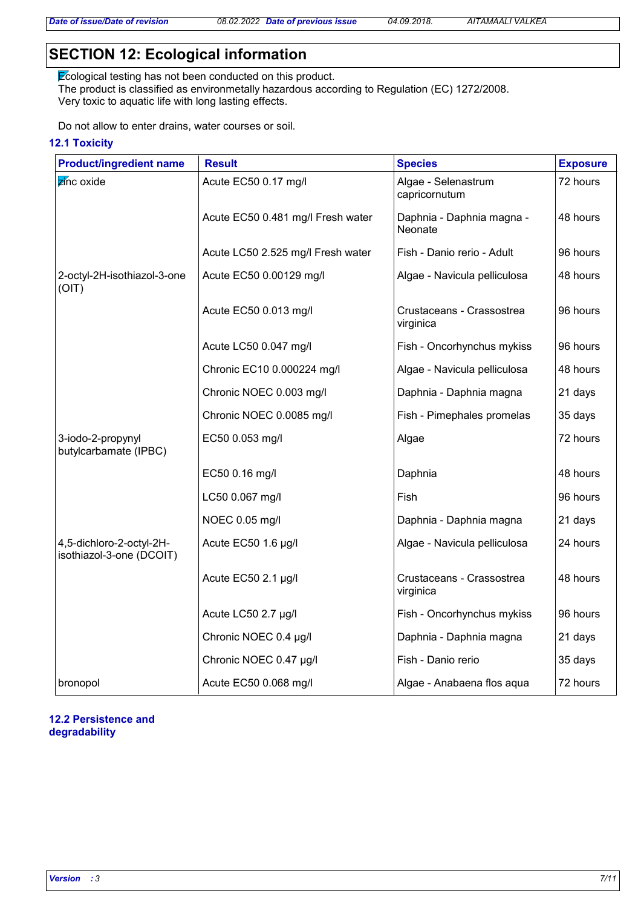## **SECTION 12: Ecological information**

Ecological testing has not been conducted on this product. The product is classified as environmetally hazardous according to Regulation (EC) 1272/2008. Very toxic to aquatic life with long lasting effects.

Do not allow to enter drains, water courses or soil.

#### **12.1 Toxicity**

| <b>Product/ingredient name</b>                       | <b>Result</b>                     | <b>Species</b>                         | <b>Exposure</b> |
|------------------------------------------------------|-----------------------------------|----------------------------------------|-----------------|
| zinc oxide                                           | Acute EC50 0.17 mg/l              | Algae - Selenastrum<br>capricornutum   | 72 hours        |
|                                                      | Acute EC50 0.481 mg/l Fresh water | Daphnia - Daphnia magna -<br>Neonate   | 48 hours        |
|                                                      | Acute LC50 2.525 mg/l Fresh water | Fish - Danio rerio - Adult             | 96 hours        |
| 2-octyl-2H-isothiazol-3-one<br>(OIT)                 | Acute EC50 0.00129 mg/l           | Algae - Navicula pelliculosa           | 48 hours        |
|                                                      | Acute EC50 0.013 mg/l             | Crustaceans - Crassostrea<br>virginica | 96 hours        |
|                                                      | Acute LC50 0.047 mg/l             | Fish - Oncorhynchus mykiss             | 96 hours        |
|                                                      | Chronic EC10 0.000224 mg/l        | Algae - Navicula pelliculosa           | 48 hours        |
|                                                      | Chronic NOEC 0.003 mg/l           | Daphnia - Daphnia magna                | 21 days         |
|                                                      | Chronic NOEC 0.0085 mg/l          | Fish - Pimephales promelas             | 35 days         |
| 3-iodo-2-propynyl<br>butylcarbamate (IPBC)           | EC50 0.053 mg/l                   | Algae                                  | 72 hours        |
|                                                      | EC50 0.16 mg/l                    | Daphnia                                | 48 hours        |
|                                                      | LC50 0.067 mg/l                   | Fish                                   | 96 hours        |
|                                                      | NOEC 0.05 mg/l                    | Daphnia - Daphnia magna                | 21 days         |
| 4,5-dichloro-2-octyl-2H-<br>isothiazol-3-one (DCOIT) | Acute EC50 1.6 µg/l               | Algae - Navicula pelliculosa           | 24 hours        |
|                                                      | Acute EC50 2.1 µg/l               | Crustaceans - Crassostrea<br>virginica | 48 hours        |
|                                                      | Acute LC50 2.7 µg/l               | Fish - Oncorhynchus mykiss             | 96 hours        |
|                                                      | Chronic NOEC 0.4 µg/l             | Daphnia - Daphnia magna                | 21 days         |
|                                                      | Chronic NOEC 0.47 µg/l            | Fish - Danio rerio                     | 35 days         |
| bronopol                                             | Acute EC50 0.068 mg/l             | Algae - Anabaena flos aqua             | 72 hours        |

#### **12.2 Persistence and degradability**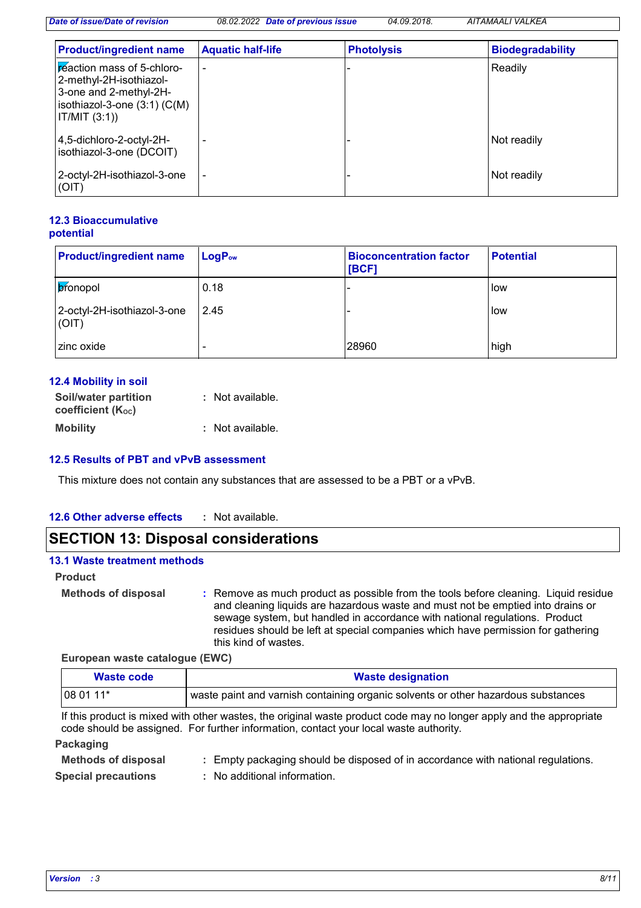*Date of issue/Date of revision 08.02.2022 Date of previous issue 04.09.2018. AITAMAALI VALKEA*

| <b>Product/ingredient name</b>                                                                                                       | <b>Aquatic half-life</b> | <b>Photolysis</b> | <b>Biodegradability</b> |
|--------------------------------------------------------------------------------------------------------------------------------------|--------------------------|-------------------|-------------------------|
| peaction mass of 5-chloro-<br>2-methyl-2H-isothiazol-<br>3-one and 2-methyl-2H-<br>isothiazol-3-one $(3:1)$ $(C(M))$<br>IT/MIT (3:1) | ۰                        |                   | Readily                 |
| 4,5-dichloro-2-octyl-2H-<br>isothiazol-3-one (DCOIT)                                                                                 |                          |                   | Not readily             |
| 2-octyl-2H-isothiazol-3-one<br>(OIT)                                                                                                 |                          |                   | Not readily             |

#### **12.3 Bioaccumulative potential**

| <b>Product/ingredient name</b>       | $LogP_{ow}$ | <b>Bioconcentration factor</b><br>[BCF] | <b>Potential</b> |
|--------------------------------------|-------------|-----------------------------------------|------------------|
| <b>bronopol</b>                      | 0.18        |                                         | low              |
| 2-octyl-2H-isothiazol-3-one<br>(OIT) | 2.45        |                                         | low              |
| zinc oxide                           |             | 28960                                   | high             |

#### **12.4 Mobility in soil**

| Soil/water partition     | : Not available. |
|--------------------------|------------------|
| <b>coefficient (Koc)</b> |                  |
| <b>Mobility</b>          | : Not available. |

#### **12.5 Results of PBT and vPvB assessment**

This mixture does not contain any substances that are assessed to be a PBT or a vPvB.

#### **12.6 Other adverse effects :**

## **SECTION 13: Disposal considerations**

#### **13.1 Waste treatment methods**

#### **Product**

**Methods of disposal :**

Remove as much product as possible from the tools before cleaning. Liquid residue and cleaning liquids are hazardous waste and must not be emptied into drains or sewage system, but handled in accordance with national regulations. Product residues should be left at special companies which have permission for gathering this kind of wastes.

**European waste catalogue (EWC)**

| <b>Waste designation</b><br>Waste code |                                                                                     |
|----------------------------------------|-------------------------------------------------------------------------------------|
| $1080111*$                             | ' waste paint and varnish containing organic solvents or other hazardous substances |

If this product is mixed with other wastes, the original waste product code may no longer apply and the appropriate code should be assigned. For further information, contact your local waste authority.

#### **Packaging**

| <b>Methods of disposal</b> | : Empty packaging should be disposed of in accordance with national regulations. |
|----------------------------|----------------------------------------------------------------------------------|
| <b>Special precautions</b> | : No additional information.                                                     |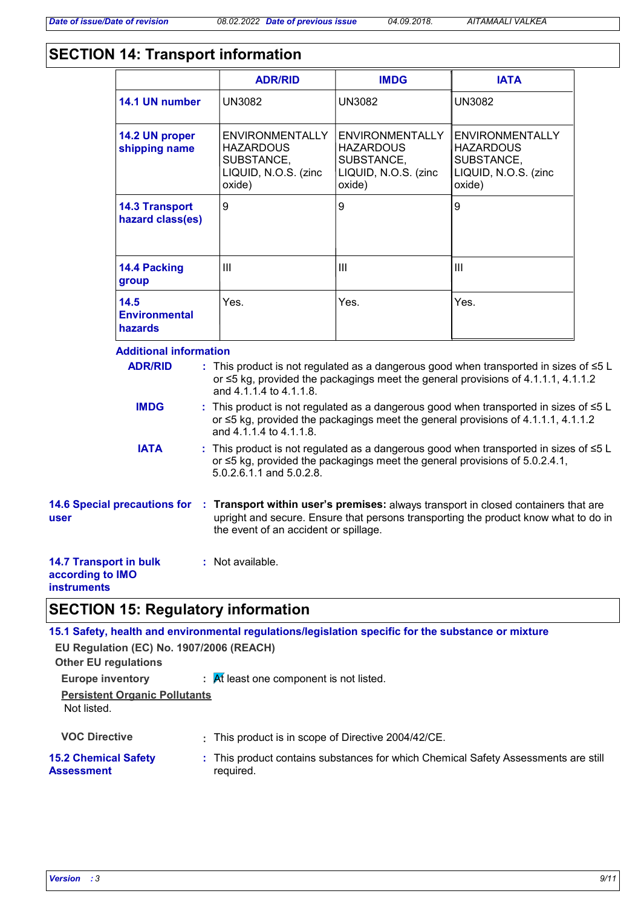## **SECTION 14: Transport information**

|                                                                         |                                           | <b>ADR/RID</b>                                                                                          | <b>IMDG</b>                                                                                | <b>IATA</b>                                                                                                                                                                      |  |
|-------------------------------------------------------------------------|-------------------------------------------|---------------------------------------------------------------------------------------------------------|--------------------------------------------------------------------------------------------|----------------------------------------------------------------------------------------------------------------------------------------------------------------------------------|--|
|                                                                         | 14.1 UN number                            | <b>UN3082</b>                                                                                           | <b>UN3082</b>                                                                              | <b>UN3082</b>                                                                                                                                                                    |  |
|                                                                         | 14.2 UN proper<br>shipping name           | <b>ENVIRONMENTALLY</b><br><b>HAZARDOUS</b><br>SUBSTANCE,<br>LIQUID, N.O.S. (zinc<br>oxide)              | <b>ENVIRONMENTALLY</b><br><b>HAZARDOUS</b><br>SUBSTANCE,<br>LIQUID, N.O.S. (zinc<br>oxide) | <b>ENVIRONMENTALLY</b><br><b>HAZARDOUS</b><br>SUBSTANCE,<br>LIQUID, N.O.S. (zinc<br>oxide)                                                                                       |  |
|                                                                         | <b>14.3 Transport</b><br>hazard class(es) | 9                                                                                                       | 9                                                                                          | 9                                                                                                                                                                                |  |
|                                                                         | 14.4 Packing<br>group                     | $\mathbf{III}$                                                                                          | III                                                                                        | $\mathbf{III}$                                                                                                                                                                   |  |
|                                                                         | 14.5<br><b>Environmental</b><br>hazards   | Yes.                                                                                                    | Yes.                                                                                       | Yes.                                                                                                                                                                             |  |
|                                                                         | <b>Additional information</b>             |                                                                                                         |                                                                                            |                                                                                                                                                                                  |  |
|                                                                         | <b>ADR/RID</b>                            | and 4.1.1.4 to 4.1.1.8.                                                                                 |                                                                                            | : This product is not regulated as a dangerous good when transported in sizes of $\leq 5$ L<br>or ≤5 kg, provided the packagings meet the general provisions of 4.1.1.1, 4.1.1.2 |  |
|                                                                         | <b>IMDG</b>                               | and 4.1.1.4 to 4.1.1.8.                                                                                 |                                                                                            | : This product is not regulated as a dangerous good when transported in sizes of ≤5 L<br>or ≤5 kg, provided the packagings meet the general provisions of 4.1.1.1, 4.1.1.2       |  |
|                                                                         | <b>IATA</b>                               | or ≤5 kg, provided the packagings meet the general provisions of 5.0.2.4.1,<br>5.0.2.6.1.1 and 5.0.2.8. |                                                                                            | : This product is not regulated as a dangerous good when transported in sizes of ≤5 L                                                                                            |  |
| user                                                                    | <b>14.6 Special precautions for</b>       | the event of an accident or spillage.                                                                   |                                                                                            | : Transport within user's premises: always transport in closed containers that are<br>upright and secure. Ensure that persons transporting the product know what to do in        |  |
| <b>14.7 Transport in bulk</b><br>according to IMO<br><b>instruments</b> |                                           | : Not available.                                                                                        |                                                                                            |                                                                                                                                                                                  |  |
|                                                                         |                                           | <b>SECTION 15: Regulatory information</b>                                                               |                                                                                            |                                                                                                                                                                                  |  |
|                                                                         |                                           | 15.1 Safety, health and environmental regulations/legislation specific for the substance or mixture     |                                                                                            |                                                                                                                                                                                  |  |
| <b>Other EU regulations</b>                                             | EU Regulation (EC) No. 1907/2006 (REACH)  |                                                                                                         |                                                                                            |                                                                                                                                                                                  |  |

| <b>Europe inventory</b> | $\mathcal{A}$ Rt least one component is not listed. |
|-------------------------|-----------------------------------------------------|
|-------------------------|-----------------------------------------------------|

**Persistent Organic Pollutants** Not listed.

**VOC Directive :** This product is in scope of Directive 2004/42/CE.

#### **15.2 Chemical Safety Assessment** This product contains substances for which Chemical Safety Assessments are still **:** required.

*Version : 3 9/11*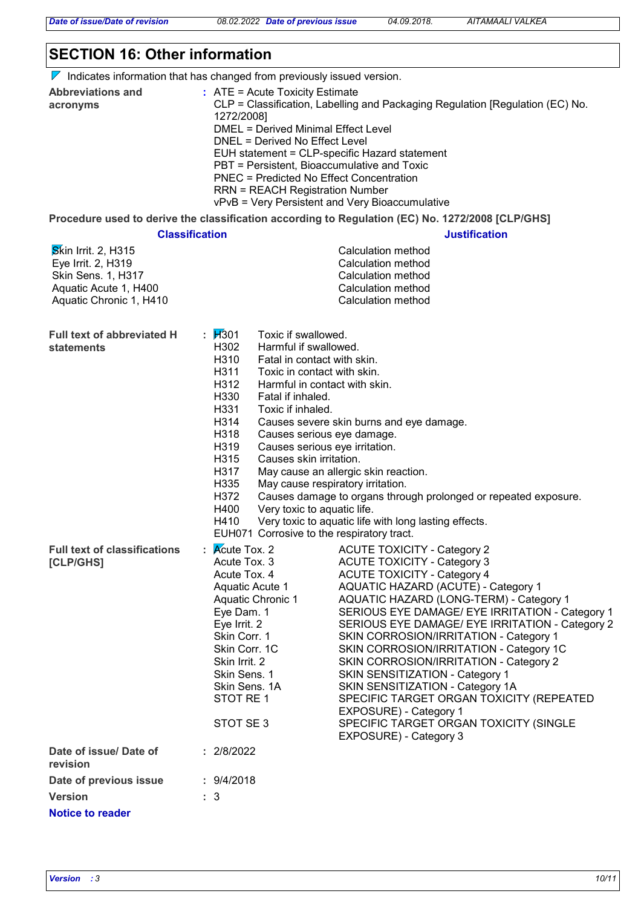*Date of issue/Date of revision 08.02.2022 Date of previous issue 04.09.2018. AITAMAALI VALKEA*

## **SECTION 16: Other information**

 $\nabla$  Indicates information that has changed from previously issued version.

| <b>Abbreviations and</b> | $:$ ATE = Acute Toxicity Estimate                                             |
|--------------------------|-------------------------------------------------------------------------------|
| acronyms                 | CLP = Classification, Labelling and Packaging Regulation [Regulation (EC) No. |
|                          | 1272/2008]                                                                    |
|                          | DMEL = Derived Minimal Effect Level                                           |
|                          | DNEL = Derived No Effect Level                                                |
|                          | EUH statement = CLP-specific Hazard statement                                 |
|                          | PBT = Persistent, Bioaccumulative and Toxic                                   |
|                          | PNEC = Predicted No Effect Concentration                                      |
|                          | <b>RRN = REACH Registration Number</b>                                        |
|                          | vPvB = Very Persistent and Very Bioaccumulative                               |
|                          |                                                                               |

**Procedure used to derive the classification according to Regulation (EC) No. 1272/2008 [CLP/GHS]**

|                                                                                                                                   | <b>Classification</b>                                                                                                                                                                                                                                                                                                                                                                                      | <b>Justification</b>                                                                                                                                                                                                                                                                                                                                                                                                                                                                                                                                                                                                                                   |
|-----------------------------------------------------------------------------------------------------------------------------------|------------------------------------------------------------------------------------------------------------------------------------------------------------------------------------------------------------------------------------------------------------------------------------------------------------------------------------------------------------------------------------------------------------|--------------------------------------------------------------------------------------------------------------------------------------------------------------------------------------------------------------------------------------------------------------------------------------------------------------------------------------------------------------------------------------------------------------------------------------------------------------------------------------------------------------------------------------------------------------------------------------------------------------------------------------------------------|
| <b>Skin Irrit. 2, H315</b><br>Eye Irrit. 2, H319<br><b>Skin Sens. 1, H317</b><br>Aquatic Acute 1, H400<br>Aquatic Chronic 1, H410 |                                                                                                                                                                                                                                                                                                                                                                                                            | <b>Calculation method</b><br>Calculation method<br>Calculation method<br>Calculation method<br>Calculation method                                                                                                                                                                                                                                                                                                                                                                                                                                                                                                                                      |
| <b>Full text of abbreviated H</b><br><b>statements</b>                                                                            | : $\cancel{1}$ 301<br>Toxic if swallowed.<br>H302<br>Harmful if swallowed.<br>H310<br>Fatal in contact with skin.<br>H311<br>Toxic in contact with skin.<br>H312<br>H330<br>Fatal if inhaled.<br>H331<br>Toxic if inhaled.<br>H314<br>H318<br>H319<br>H315<br>Causes skin irritation.<br>H317<br>H335<br>H372<br>H400<br>Very toxic to aquatic life.<br>H410<br>EUH071 Corrosive to the respiratory tract. | Harmful in contact with skin.<br>Causes severe skin burns and eye damage.<br>Causes serious eye damage.<br>Causes serious eye irritation.<br>May cause an allergic skin reaction.<br>May cause respiratory irritation.<br>Causes damage to organs through prolonged or repeated exposure.<br>Very toxic to aquatic life with long lasting effects.                                                                                                                                                                                                                                                                                                     |
| <b>Full text of classifications</b><br>[CLP/GHS]                                                                                  | $\mathsf{R}$ Acute Tox. 2<br>Acute Tox. 3<br>Acute Tox. 4<br>Aquatic Acute 1<br>Aquatic Chronic 1<br>Eye Dam. 1<br>Eye Irrit. 2<br>Skin Corr. 1<br>Skin Corr. 1C<br>Skin Irrit. 2<br>Skin Sens. 1<br>Skin Sens. 1A<br>STOT RE 1<br>STOT SE 3                                                                                                                                                               | <b>ACUTE TOXICITY - Category 2</b><br><b>ACUTE TOXICITY - Category 3</b><br><b>ACUTE TOXICITY - Category 4</b><br>AQUATIC HAZARD (ACUTE) - Category 1<br>AQUATIC HAZARD (LONG-TERM) - Category 1<br>SERIOUS EYE DAMAGE/ EYE IRRITATION - Category 1<br>SERIOUS EYE DAMAGE/ EYE IRRITATION - Category 2<br>SKIN CORROSION/IRRITATION - Category 1<br>SKIN CORROSION/IRRITATION - Category 1C<br>SKIN CORROSION/IRRITATION - Category 2<br>SKIN SENSITIZATION - Category 1<br>SKIN SENSITIZATION - Category 1A<br>SPECIFIC TARGET ORGAN TOXICITY (REPEATED<br>EXPOSURE) - Category 1<br>SPECIFIC TARGET ORGAN TOXICITY (SINGLE<br>EXPOSURE) - Category 3 |
| Date of issue/ Date of<br>revision                                                                                                | : 2/8/2022                                                                                                                                                                                                                                                                                                                                                                                                 |                                                                                                                                                                                                                                                                                                                                                                                                                                                                                                                                                                                                                                                        |
| Date of previous issue                                                                                                            | : 9/4/2018                                                                                                                                                                                                                                                                                                                                                                                                 |                                                                                                                                                                                                                                                                                                                                                                                                                                                                                                                                                                                                                                                        |
| <b>Version</b>                                                                                                                    | : 3                                                                                                                                                                                                                                                                                                                                                                                                        |                                                                                                                                                                                                                                                                                                                                                                                                                                                                                                                                                                                                                                                        |
| <b>Notice to reader</b>                                                                                                           |                                                                                                                                                                                                                                                                                                                                                                                                            |                                                                                                                                                                                                                                                                                                                                                                                                                                                                                                                                                                                                                                                        |